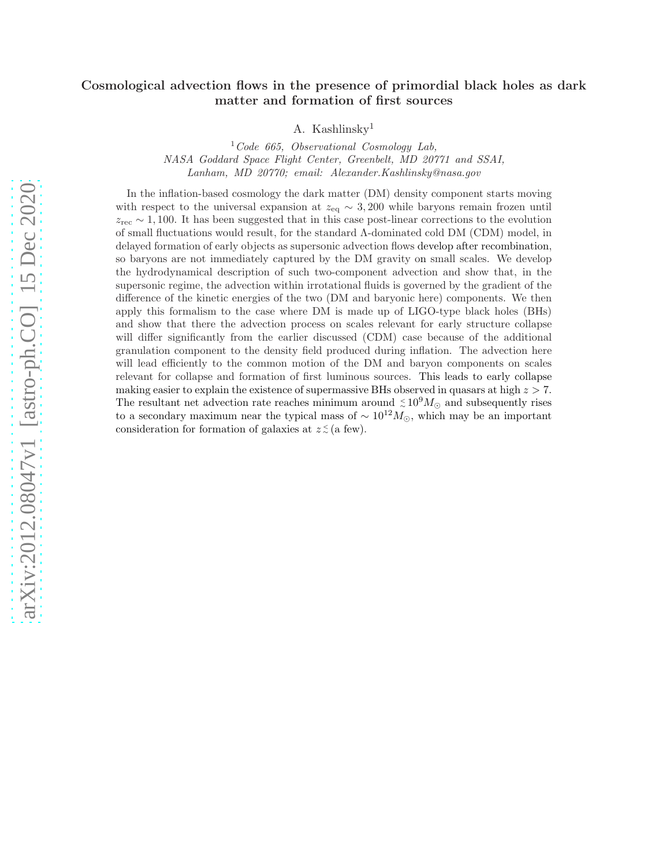# arXiv:2012.08047v1 [astro-ph.CO] 15 Dec 2020 [arXiv:2012.08047v1 \[astro-ph.CO\] 15 Dec 2020](http://arxiv.org/abs/2012.08047v1)

# Cosmological advection flows in the presence of primordial black holes as dark matter and formation of first sources

A. Kashlinsky<sup>1</sup>

<sup>1</sup>*Code 665, Observational Cosmology Lab, NASA Goddard Space Flight Center, Greenbelt, MD 20771 and SSAI, Lanham, MD 20770; email: Alexander.Kashlinsky@nasa.gov*

In the inflation-based cosmology the dark matter (DM) density component starts moving with respect to the universal expansion at  $z_{eq} \sim 3,200$  while baryons remain frozen until  $z_{\text{rec}} \sim 1,100$ . It has been suggested that in this case post-linear corrections to the evolution of small fluctuations would result, for the standard Λ-dominated cold DM (CDM) model, in delayed formation of early objects as supersonic advection flows develop after recombination, so baryons are not immediately captured by the DM gravity on small scales. We develop the hydrodynamical description of such two-component advection and show that, in the supersonic regime, the advection within irrotational fluids is governed by the gradient of the difference of the kinetic energies of the two (DM and baryonic here) components. We then apply this formalism to the case where DM is made up of LIGO-type black holes (BHs) and show that there the advection process on scales relevant for early structure collapse will differ significantly from the earlier discussed (CDM) case because of the additional granulation component to the density field produced during inflation. The advection here will lead efficiently to the common motion of the DM and baryon components on scales relevant for collapse and formation of first luminous sources. This leads to early collapse making easier to explain the existence of supermassive BHs observed in quasars at high  $z > 7$ . The resultant net advection rate reaches minimum around  $\leq 10^9 M_{\odot}$  and subsequently rises to a secondary maximum near the typical mass of  $\sim 10^{12} M_{\odot}$ , which may be an important consideration for formation of galaxies at  $z \leq$  (a few).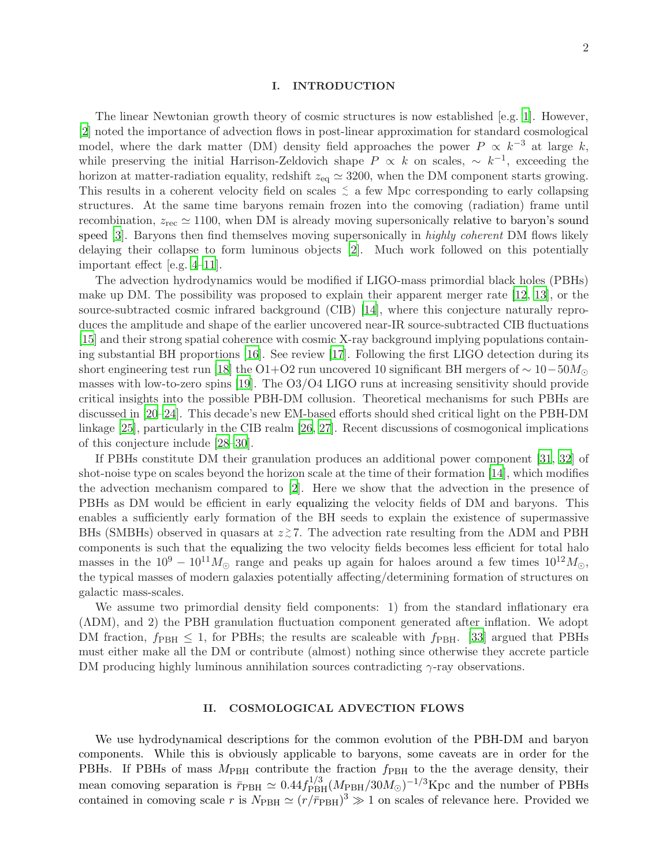### I. INTRODUCTION

The linear Newtonian growth theory of cosmic structures is now established [e.g. [1\]](#page-8-0). However, [\[2](#page-8-1)] noted the importance of advection flows in post-linear approximation for standard cosmological model, where the dark matter (DM) density field approaches the power  $P \propto k^{-3}$  at large k, while preserving the initial Harrison-Zeldovich shape  $P \propto k$  on scales,  $\sim k^{-1}$ , exceeding the horizon at matter-radiation equality, redshift  $z_{eq} \simeq 3200$ , when the DM component starts growing. This results in a coherent velocity field on scales  $\leq$  a few Mpc corresponding to early collapsing structures. At the same time baryons remain frozen into the comoving (radiation) frame until recombination,  $z_{\text{rec}} \simeq 1100$ , when DM is already moving supersonically relative to baryon's sound speed [\[3\]](#page-8-2). Baryons then find themselves moving supersonically in *highly coherent* DM flows likely delaying their collapse to form luminous objects [\[2](#page-8-1)]. Much work followed on this potentially important effect [e.g. [4](#page-8-3)[–11](#page-8-4)].

The advection hydrodynamics would be modified if LIGO-mass primordial black holes (PBHs) make up DM. The possibility was proposed to explain their apparent merger rate [\[12,](#page-8-5) [13](#page-8-6)], or the source-subtracted cosmic infrared background (CIB) [\[14\]](#page-8-7), where this conjecture naturally reproduces the amplitude and shape of the earlier uncovered near-IR source-subtracted CIB fluctuations [\[15\]](#page-9-0) and their strong spatial coherence with cosmic X-ray background implying populations containing substantial BH proportions [\[16](#page-9-1)]. See review [\[17](#page-9-2)]. Following the first LIGO detection during its short engineering test run [\[18](#page-9-3)] the O1+O2 run uncovered 10 significant BH mergers of  $\sim 10-50M_{\odot}$ masses with low-to-zero spins [\[19\]](#page-9-4). The O3/O4 LIGO runs at increasing sensitivity should provide critical insights into the possible PBH-DM collusion. Theoretical mechanisms for such PBHs are discussed in [\[20](#page-9-5)[–24\]](#page-9-6). This decade's new EM-based efforts should shed critical light on the PBH-DM linkage [\[25\]](#page-9-7), particularly in the CIB realm [\[26,](#page-9-8) [27\]](#page-9-9). Recent discussions of cosmogonical implications of this conjecture include [\[28](#page-9-10)[–30](#page-9-11)].

If PBHs constitute DM their granulation produces an additional power component [\[31](#page-9-12), [32](#page-9-13)] of shot-noise type on scales beyond the horizon scale at the time of their formation [\[14\]](#page-8-7), which modifies the advection mechanism compared to [\[2](#page-8-1)]. Here we show that the advection in the presence of PBHs as DM would be efficient in early equalizing the velocity fields of DM and baryons. This enables a sufficiently early formation of the BH seeds to explain the existence of supermassive BHs (SMBHs) observed in quasars at  $z \gtrsim 7$ . The advection rate resulting from the  $\Lambda$ DM and PBH components is such that the equalizing the two velocity fields becomes less efficient for total halo masses in the  $10^9 - 10^{11} M_{\odot}$  range and peaks up again for haloes around a few times  $10^{12} M_{\odot}$ , the typical masses of modern galaxies potentially affecting/determining formation of structures on galactic mass-scales.

We assume two primordial density field components: 1) from the standard inflationary era (ΛDM), and 2) the PBH granulation fluctuation component generated after inflation. We adopt DM fraction,  $f_{\rm PBH} \leq 1$ , for PBHs; the results are scaleable with  $f_{\rm PBH}$ . [\[33\]](#page-9-14) argued that PBHs must either make all the DM or contribute (almost) nothing since otherwise they accrete particle DM producing highly luminous annihilation sources contradicting  $\gamma$ -ray observations.

### II. COSMOLOGICAL ADVECTION FLOWS

We use hydrodynamical descriptions for the common evolution of the PBH-DM and baryon components. While this is obviously applicable to baryons, some caveats are in order for the PBHs. If PBHs of mass  $M_{\text{PBH}}$  contribute the fraction  $f_{\text{PBH}}$  to the the average density, their mean comoving separation is  $\bar{r}_{\text{PBH}} \simeq 0.44 f_{\text{PBH}}^{1/3} (M_{\text{PBH}}/30 M_{\odot})^{-1/3}$ Kpc and the number of PBHs contained in comoving scale r is  $N_{\rm PBH} \simeq (r/\bar{r}_{\rm PBH})^3 \gg 1$  on scales of relevance here. Provided we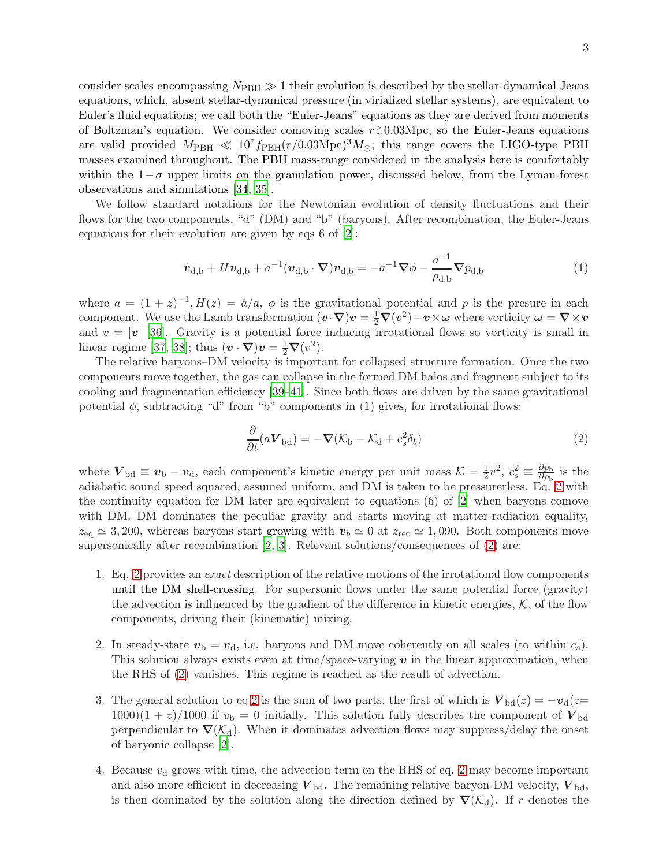consider scales encompassing  $N_{\text{PBH}} \gg 1$  their evolution is described by the stellar-dynamical Jeans equations, which, absent stellar-dynamical pressure (in virialized stellar systems), are equivalent to Euler's fluid equations; we call both the "Euler-Jeans" equations as they are derived from moments of Boltzman's equation. We consider comoving scales  $r \gtrsim 0.03 \text{Mpc}$ , so the Euler-Jeans equations are valid provided  $M_{\text{PBH}} \ll 10^7 f_{\text{PBH}}(r/0.03 \text{Mpc})^3 M_{\odot}$ ; this range covers the LIGO-type PBH masses examined throughout. The PBH mass-range considered in the analysis here is comfortably within the  $1-\sigma$  upper limits on the granulation power, discussed below, from the Lyman-forest observations and simulations [\[34,](#page-9-15) [35](#page-9-16)].

We follow standard notations for the Newtonian evolution of density fluctuations and their flows for the two components, "d" (DM) and "b" (baryons). After recombination, the Euler-Jeans equations for their evolution are given by eqs 6 of [\[2](#page-8-1)]:

<span id="page-2-1"></span>
$$
\dot{\boldsymbol{v}}_{\rm d,b} + H \boldsymbol{v}_{\rm d,b} + a^{-1} (\boldsymbol{v}_{\rm d,b} \cdot \boldsymbol{\nabla}) \boldsymbol{v}_{\rm d,b} = -a^{-1} \boldsymbol{\nabla} \phi - \frac{a^{-1}}{\rho_{\rm d,b}} \boldsymbol{\nabla} p_{\rm d,b}
$$
(1)

where  $a = (1 + z)^{-1}$ ,  $H(z) = \dot{a}/a$ ,  $\phi$  is the gravitational potential and p is the presure in each component. We use the Lamb transformation  $(v \cdot \nabla)v = \frac{1}{2} \nabla (v^2) - v \times \omega$  where vorticity  $\omega = \nabla \times v$ and  $v = |v|$  [\[36\]](#page-9-17). Gravity is a potential force inducing irrotational flows so vorticity is small in linear regime [\[37](#page-9-18), [38](#page-9-19)]; thus  $(\mathbf{v} \cdot \nabla)\mathbf{v} = \frac{1}{2}\nabla(v^2)$ .

The relative baryons–DM velocity is important for collapsed structure formation. Once the two components move together, the gas can collapse in the formed DM halos and fragment subject to its cooling and fragmentation efficiency [\[39](#page-9-20)[–41](#page-9-21)]. Since both flows are driven by the same gravitational potential  $\phi$ , subtracting "d" from "b" components in (1) gives, for irrotational flows:

<span id="page-2-0"></span>
$$
\frac{\partial}{\partial t}(a\mathbf{V}_{\text{bd}}) = -\nabla(\mathcal{K}_{\text{b}} - \mathcal{K}_{\text{d}} + c_s^2 \delta_b)
$$
\n(2)

where  $V_{\text{bd}} \equiv v_{\text{b}} - v_{\text{d}}$ , each component's kinetic energy per unit mass  $K = \frac{1}{2}$  $\frac{1}{2}v^2, c_s^2 \equiv \frac{\partial p_b}{\partial \rho_b}$  $\frac{\partial p_{\rm b}}{\partial \rho_{\rm b}}$  is the adiabatic sound speed squared, assumed uniform, and DM is taken to be pressurerless. Eq. [2](#page-2-0) with the continuity equation for DM later are equivalent to equations (6) of [\[2](#page-8-1)] when baryons comove with DM. DM dominates the peculiar gravity and starts moving at matter-radiation equality,  $z_{\text{eq}} \simeq 3,200$ , whereas baryons start growing with  $v_b \simeq 0$  at  $z_{\text{rec}} \simeq 1,090$ . Both components move supersonically after recombination [\[2,](#page-8-1) [3](#page-8-2)]. Relevant solutions/consequences of [\(2\)](#page-2-0) are:

- 1. Eq. [2](#page-2-0) provides an *exact* description of the relative motions of the irrotational flow components until the DM shell-crossing. For supersonic flows under the same potential force (gravity) the advection is influenced by the gradient of the difference in kinetic energies,  $K$ , of the flow components, driving their (kinematic) mixing.
- 2. In steady-state  $v_{\rm b} = v_{\rm d}$ , i.e. baryons and DM move coherently on all scales (to within  $c_s$ ). This solution always exists even at time/space-varying  $v$  in the linear approximation, when the RHS of [\(2\)](#page-2-0) vanishes. This regime is reached as the result of advection.
- 3. The general solution to eq[.2](#page-2-0) is the sum of two parts, the first of which is  $V_{bd}(z) = -v_{d}(z=$  $1000(1 + z)/1000$  if  $v<sub>b</sub> = 0$  initially. This solution fully describes the component of  $V<sub>bd</sub>$ perpendicular to  $\nabla(\mathcal{K}_{d})$ . When it dominates advection flows may suppress/delay the onset of baryonic collapse [\[2\]](#page-8-1).
- 4. Because  $v<sub>d</sub>$  grows with time, the advection term on the RHS of eq. [2](#page-2-0) may become important and also more efficient in decreasing  $V_{\rm bd}$ . The remaining relative baryon-DM velocity,  $V_{\rm bd}$ , is then dominated by the solution along the direction defined by  $\nabla(\mathcal{K}_d)$ . If r denotes the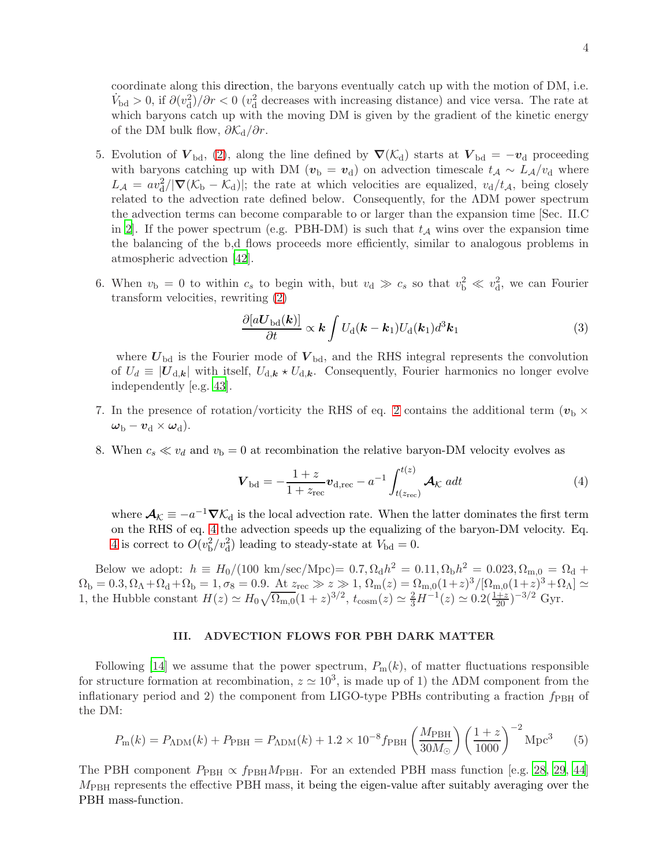coordinate along this direction, the baryons eventually catch up with the motion of DM, i.e.  $\dot{V}_{\text{bd}} > 0$ , if  $\partial(v_{\text{d}}^2)/\partial r < 0$  ( $v_{\text{d}}^2$  decreases with increasing distance) and vice versa. The rate at which baryons catch up with the moving DM is given by the gradient of the kinetic energy of the DM bulk flow,  $\partial \mathcal{K}_d / \partial r$ .

- 5. Evolution of  $V_{\text{bd}}$ , [\(2\)](#page-2-0), along the line defined by  $\nabla(\mathcal{K}_{d})$  starts at  $V_{\text{bd}} = -v_{d}$  proceeding with baryons catching up with DM ( $v<sub>b</sub> = v<sub>d</sub>$ ) on advection timescale  $t_A \sim L_A/v_d$  where  $L_A = av_d^2/|\nabla(\mathcal{K}_b - \mathcal{K}_d)|$ ; the rate at which velocities are equalized,  $v_d/t_A$ , being closely related to the advection rate defined below. Consequently, for the ΛDM power spectrum the advection terms can become comparable to or larger than the expansion time [Sec. II.C in [2](#page-8-1). If the power spectrum (e.g. PBH-DM) is such that  $t_A$  wins over the expansion time the balancing of the b,d flows proceeds more efficiently, similar to analogous problems in atmospheric advection [\[42](#page-9-22)].
- 6. When  $v_b = 0$  to within  $c_s$  to begin with, but  $v_d \gg c_s$  so that  $v_b^2 \ll v_d^2$ , we can Fourier transform velocities, rewriting [\(2\)](#page-2-0)

<span id="page-3-1"></span>
$$
\frac{\partial [a\boldsymbol{U}_{\text{bd}}(\boldsymbol{k})]}{\partial t} \propto \boldsymbol{k} \int U_{\text{d}}(\boldsymbol{k} - \boldsymbol{k}_1) U_{\text{d}}(\boldsymbol{k}_1) d^3 \boldsymbol{k}_1 \tag{3}
$$

where  $U_{\text{bd}}$  is the Fourier mode of  $V_{\text{bd}}$ , and the RHS integral represents the convolution of  $U_d \equiv |U_{d,k}|$  with itself,  $U_{d,k} \star U_{d,k}$ . Consequently, Fourier harmonics no longer evolve independently [e.g. [43](#page-9-23)].

- 7. In the presence of rotation/vorticity the RHS of eq. [2](#page-2-0) contains the additional term ( $v<sub>b</sub>$   $\times$  $\omega_{\rm b} - v_{\rm d} \times \omega_{\rm d}$ ).
- 8. When  $c_s \ll v_d$  and  $v_b = 0$  at recombination the relative baryon-DM velocity evolves as

<span id="page-3-0"></span>
$$
\boldsymbol{V}_{\rm bd} = -\frac{1+z}{1+z_{\rm rec}} \boldsymbol{v}_{\rm d,rec} - a^{-1} \int_{t(z_{\rm rec})}^{t(z)} \boldsymbol{\mathcal{A}}_{\mathcal{K}} \, a dt \tag{4}
$$

where  $\mathcal{A}_\mathcal{K} \equiv -a^{-1} \nabla \mathcal{K}_d$  is the local advection rate. When the latter dominates the first term on the RHS of eq. [4](#page-3-0) the advection speeds up the equalizing of the baryon-DM velocity. Eq. [4](#page-3-0) is correct to  $O(v_b^2/v_d^2)$  leading to steady-state at  $V_{\text{bd}} = 0$ .

Below we adopt:  $h \equiv H_0/(100 \text{ km/sec/Mpc}) = 0.7, \Omega_d h^2 = 0.11, \Omega_b h^2 = 0.023, \Omega_{m,0} = \Omega_d +$  $\Omega_{\rm b} = 0.3, \Omega_{\Lambda} + \Omega_{\rm d} + \Omega_{\rm b} = 1, \sigma_8 = 0.9.$  At  $z_{\rm rec} \gg z \gg 1, \Omega_{\rm m}(z) = \Omega_{\rm m,0}(1+z)^3/[\Omega_{\rm m,0}(1+z)^3+\Omega_{\Lambda}] \simeq$ 1, the Hubble constant  $H(z) \simeq H_0 \sqrt{\Omega_{\text{m},0}} (1+z)^{3/2}$ ,  $t_{\text{cosm}}(z) \simeq \frac{2}{3} H^{-1}(z) \simeq 0.2(\frac{1+z}{20})^{-3/2}$  Gyr.

### III. ADVECTION FLOWS FOR PBH DARK MATTER

Following [\[14](#page-8-7)] we assume that the power spectrum,  $P_m(k)$ , of matter fluctuations responsible for structure formation at recombination,  $z \simeq 10^3$ , is made up of 1) the ADM component from the inflationary period and 2) the component from LIGO-type PBHs contributing a fraction  $f_{\rm PBH}$  of the DM:

<span id="page-3-2"></span>
$$
P_{\rm m}(k) = P_{\Lambda \rm DM}(k) + P_{\rm PBH} = P_{\Lambda \rm DM}(k) + 1.2 \times 10^{-8} f_{\rm PBH} \left(\frac{M_{\rm PBH}}{30M_{\odot}}\right) \left(\frac{1+z}{1000}\right)^{-2} \rm Mpc^3 \tag{5}
$$

The PBH component  $P_{\text{PBH}} \propto f_{\text{PBH}}M_{\text{PBH}}$ . For an extended PBH mass function [e.g. [28,](#page-9-10) [29](#page-9-24), [44](#page-9-25)]  $M_{\rm PBH}$  represents the effective PBH mass, it being the eigen-value after suitably averaging over the PBH mass-function.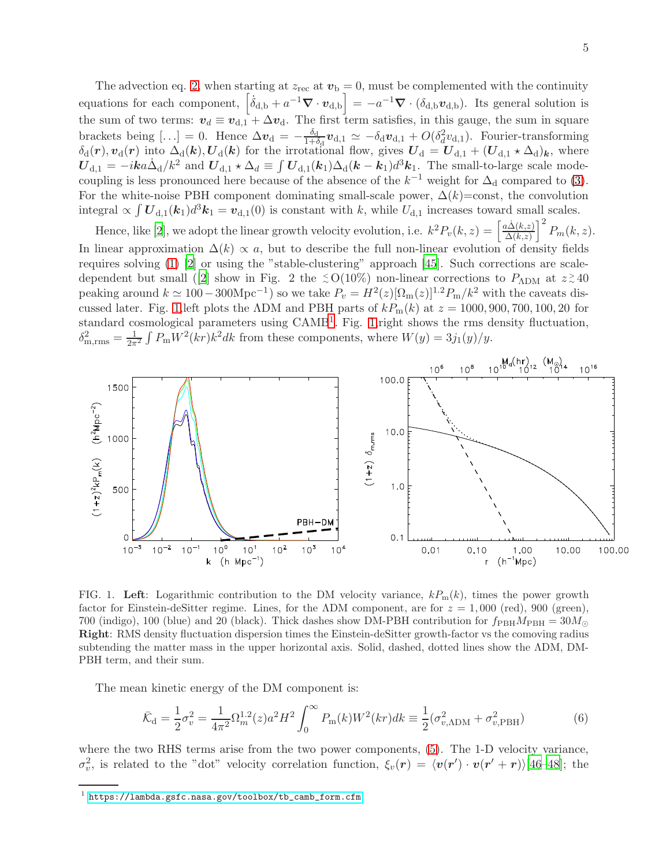The advection eq. [2,](#page-2-0) when starting at  $z_{\text{rec}}$  at  $v_{\text{b}} = 0$ , must be complemented with the continuity equations for each component,  $\left[\dot{\delta}_{d,b} + a^{-1}\nabla \cdot \boldsymbol{v}_{d,b}\right] = -a^{-1}\nabla \cdot (\delta_{d,b}\boldsymbol{v}_{d,b})$ . Its general solution is the sum of two terms:  $v_d \equiv v_{d,1} + \Delta v_d$ . The first term satisfies, in this gauge, the sum in square brackets being [...] = 0. Hence  $\Delta v_{\rm d} = -\frac{\delta_{\rm d}}{1+\delta}$  $\frac{\delta_{\rm d}}{1+\delta_{\rm d}}$  $\bm{v}_{\rm d,1}\simeq-\delta_{\rm d}\bm{v}_{\rm d,1}+O(\delta_d^2v_{\rm d,1})$ . Fourier-transforming  $\delta_d(r), v_d(r)$  into  $\Delta_d(k), U_d(k)$  for the irrotational flow, gives  $U_d = U_{d,1} + (U_{d,1} \star \Delta_d)_k$ , where  $U_{d,1} = -ik \dot{\Delta}_d / k^2$  and  $U_{d,1} \star \Delta_d \equiv \int U_{d,1}(k_1) \Delta_d (k - k_1) d^3 k_1$ . The small-to-large scale modecoupling is less pronounced here because of the absence of the  $k^{-1}$  weight for  $\Delta_d$  compared to [\(3\)](#page-3-1). For the white-noise PBH component dominating small-scale power,  $\Delta(k)$ =const, the convolution integral  $\propto \int U_{d,1}(k_1)d^3k_1 = v_{d,1}(0)$  is constant with k, while  $U_{d,1}$  increases toward small scales.

Hence, like [\[2\]](#page-8-1), we adopt the linear growth velocity evolution, i.e.  $k^2 P_v(k, z) = \left[\frac{a\dot{\Delta}(k, z)}{\Delta(k, z)}\right]$  $\frac{\Delta(k,z)}{\Delta(k,z)}\Big|^2 P_m(k,z).$ In linear approximation  $\Delta(k) \propto a$ , but to describe the full non-linear evolution of density fields requires solving [\(1\)](#page-2-1) [\[2\]](#page-8-1) or using the "stable-clustering" approach [\[45](#page-9-26)]. Such corrections are scale-dependent but small ([\[2\]](#page-8-1) show in Fig. 2 the  $\leq O(10\%)$  non-linear corrections to  $P_{\Lambda \text{DM}}$  at  $z \gtrsim 40$ peaking around  $k \simeq 100-300 \text{Mpc}^{-1}$ ) so we take  $P_v = H^2(z)[\Omega_{\text{m}}(z)]^{1.2} P_{\text{m}}/k^2$  with the caveats dis-cussed later. Fig. [1,](#page-4-0) left plots the ΛDM and PBH parts of  $kP_m(k)$  at  $z = 1000, 900, 700, 100, 20$  for standard cosmological parameters using CAMB<sup>[1](#page-4-1)</sup>. Fig. [1,](#page-4-0) right shows the rms density fluctuation,  $\delta_{\text{m,rms}}^2 = \frac{1}{2\pi^2} \int P_{\text{m}} W^2(kr) k^2 dk$  from these components, where  $W(y) = 3j_1(y)/y$ .



<span id="page-4-0"></span>FIG. 1. Left: Logarithmic contribution to the DM velocity variance,  $kP_m(k)$ , times the power growth factor for Einstein-deSitter regime. Lines, for the ADM component, are for  $z = 1,000$  (red), 900 (green), 700 (indigo), 100 (blue) and 20 (black). Thick dashes show DM-PBH contribution for  $f_{\rm PBH}M_{\rm PBH} = 30M_{\odot}$ Right: RMS density fluctuation dispersion times the Einstein-deSitter growth-factor vs the comoving radius subtending the matter mass in the upper horizontal axis. Solid, dashed, dotted lines show the ΛDM, DM-PBH term, and their sum.

The mean kinetic energy of the DM component is:

$$
\bar{\mathcal{K}}_{\rm d} = \frac{1}{2}\sigma_v^2 = \frac{1}{4\pi^2} \Omega_m^{1.2}(z) a^2 H^2 \int_0^\infty P_{\rm m}(k) W^2(kr) dk \equiv \frac{1}{2} (\sigma_{v, \rm ADM}^2 + \sigma_{v, \rm PBH}^2)
$$
(6)

where the two RHS terms arise from the two power components, [\(5\)](#page-3-2). The 1-D velocity variance,  $\sigma_v^2$ , is related to the "dot" velocity correlation function,  $\xi_v(\mathbf{r}) = \langle \mathbf{v}(\mathbf{r}') \cdot \mathbf{v}(\mathbf{r}' + \mathbf{r}) \rangle$  [\[46](#page-9-27)-48]; the

<span id="page-4-1"></span> $^1$  [https://lambda.gsfc.nasa.gov/toolbox/tb\\_camb\\_form.cfm](https://lambda.gsfc.nasa.gov/toolbox/tb_camb_form.cfm)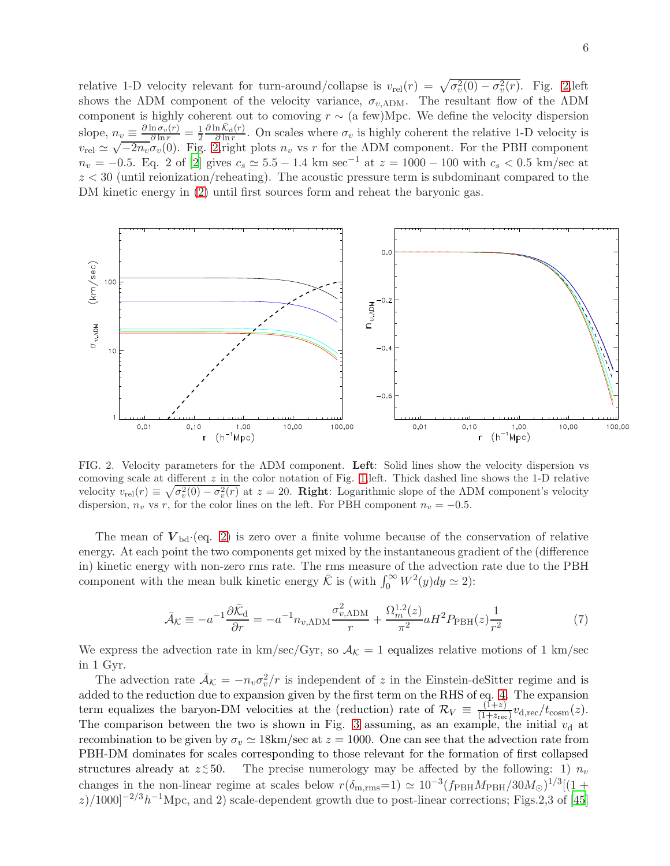relative 1-D velocity relevant for turn-around/collapse is  $v_{rel}(r) = \sqrt{\sigma_v^2(0) - \sigma_v^2(r)}$ . Fig. [2,](#page-5-0) left shows the ΛDM component of the velocity variance,  $\sigma_{v, \text{ADM}}$ . The resultant flow of the ΛDM component is highly coherent out to comoving  $r \sim$  (a few)Mpc. We define the velocity dispersion slope,  $n_v \equiv \frac{\partial \ln \sigma_v(r)}{\partial \ln r} = \frac{1}{2}$  $\frac{1}{2} \frac{\partial \ln \bar{\mathcal{K}}_{\text{d}}(r)}{\partial \ln r}$  $\frac{n\kappa_d(r)}{\partial \ln r}$ . On scales where  $\sigma_v$  is highly coherent the relative 1-D velocity is  $v_{\text{rel}} \simeq \sqrt{-2n_v}\sigma_v(0)$ . Fig. [2,](#page-5-0) right plots  $n_v$  vs r for the ADM component. For the PBH component  $n_v = -0.5$ . Eq. 2 of [\[2\]](#page-8-1) gives  $c_s \simeq 5.5 - 1.4$  km sec<sup>-1</sup> at  $z = 1000 - 100$  with  $c_s < 0.5$  km/sec at  $z < 30$  (until reionization/reheating). The acoustic pressure term is subdominant compared to the DM kinetic energy in [\(2\)](#page-2-0) until first sources form and reheat the baryonic gas.



<span id="page-5-0"></span>FIG. 2. Velocity parameters for the ΛDM component. Left: Solid lines show the velocity dispersion vs comoving scale at different  $z$  in the color notation of Fig. [1,](#page-4-0) left. Thick dashed line shows the 1-D relative velocity  $v_{\text{rel}}(r) \equiv \sqrt{\sigma_v^2(0) - \sigma_v^2(r)}$  at  $z = 20$ . **Right**: Logarithmic slope of the ADM component's velocity dispersion,  $n_v$  vs r, for the color lines on the left. For PBH component  $n_v = -0.5$ .

The mean of  $V_{\text{bd}}(eq. 2)$  $V_{\text{bd}}(eq. 2)$  is zero over a finite volume because of the conservation of relative energy. At each point the two components get mixed by the instantaneous gradient of the (difference in) kinetic energy with non-zero rms rate. The rms measure of the advection rate due to the PBH component with the mean bulk kinetic energy  $\bar{\mathcal{K}}$  is (with  $\int_0^\infty W^2(y)dy \simeq 2$ ):

$$
\bar{\mathcal{A}}_{\mathcal{K}} \equiv -a^{-1} \frac{\partial \bar{\mathcal{K}}_{\mathrm{d}}}{\partial r} = -a^{-1} n_{v, \mathrm{ADM}} \frac{\sigma_{v, \mathrm{ADM}}^2}{r} + \frac{\Omega_m^{1.2}(z)}{\pi^2} a H^2 P_{\mathrm{PBH}}(z) \frac{1}{r^2}
$$
(7)

We express the advection rate in  $km/sec/Gyr$ , so  $A<sub>K</sub> = 1$  equalizes relative motions of 1 km/sec in 1 Gyr.

The advection rate  $\bar{A}_{\mathcal{K}} = -n_v \sigma_v^2/r$  is independent of z in the Einstein-deSitter regime and is added to the reduction due to expansion given by the first term on the RHS of eq. [4.](#page-3-0) The expansion term equalizes the baryon-DM velocities at the (reduction) rate of  $\mathcal{R}_V \equiv \frac{(\bar{1}+z)}{(1+z_{\text{rec}})}$  $\frac{(1+z)}{(1+z_{\text{rec}})}v_{\text{d,rec}}/t_{\text{cosm}}(z).$ The comparison between the two is shown in Fig. [3](#page-6-0) assuming, as an example, the initial  $v<sub>d</sub>$  at recombination to be given by  $\sigma_v \simeq 18 \text{km/sec}$  at  $z = 1000$ . One can see that the advection rate from PBH-DM dominates for scales corresponding to those relevant for the formation of first collapsed structures already at  $z \, \stackrel{\scriptstyle <}{\scriptstyle \sim}$ The precise numerology may be affected by the following: 1)  $n_v$ changes in the non-linear regime at scales below  $r(\delta_{\rm m,rms}=1) \simeq 10^{-3}(f_{\rm PBH}M_{\rm PBH}/30M_\odot)^{1/3}[(1+1)^{1/3}]$  $z$ )/1000]<sup>-2/3</sup>h<sup>-1</sup>Mpc, and 2) scale-dependent growth due to post-linear corrections; Figs.2,3 of [\[45](#page-9-26)]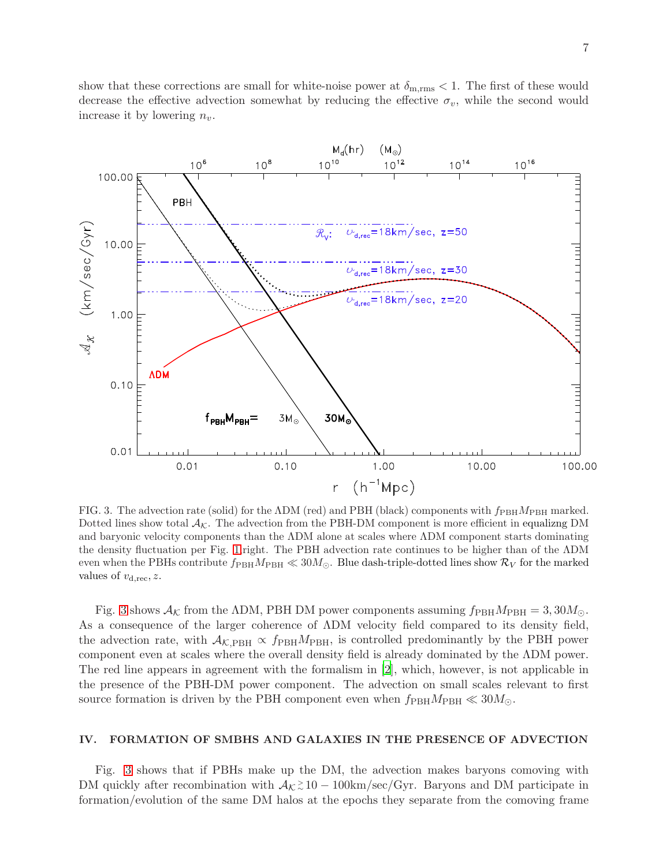show that these corrections are small for white-noise power at  $\delta_{\rm m,rms} < 1$ . The first of these would decrease the effective advection somewhat by reducing the effective  $\sigma_v$ , while the second would increase it by lowering  $n_v$ .



<span id="page-6-0"></span>FIG. 3. The advection rate (solid) for the  $\Lambda$ DM (red) and PBH (black) components with  $f_{\rm PBH}M_{\rm PBH}$  marked. Dotted lines show total  $A_{\mathcal{K}}$ . The advection from the PBH-DM component is more efficient in equalizng DM and baryonic velocity components than the ΛDM alone at scales where ΛDM component starts dominating the density fluctuation per Fig. [1,](#page-4-0)right. The PBH advection rate continues to be higher than of the ΛDM even when the PBHs contribute  $f_{\rm PBH}M_{\rm PBH} \ll 30M_{\odot}$ . Blue dash-triple-dotted lines show  $\mathcal{R}_V$  for the marked values of  $v_{d,rec}$ , z.

Fig. [3](#page-6-0) shows  $A_{\mathcal{K}}$  from the ΛDM, PBH DM power components assuming  $f_{\rm PBH}M_{\rm PBH} = 3,30M_{\odot}$ . As a consequence of the larger coherence of ΛDM velocity field compared to its density field, the advection rate, with  $A_{\mathcal{K},\text{PBH}} \propto f_{\text{PBH}}M_{\text{PBH}}$ , is controlled predominantly by the PBH power component even at scales where the overall density field is already dominated by the ΛDM power. The red line appears in agreement with the formalism in [\[2](#page-8-1)], which, however, is not applicable in the presence of the PBH-DM power component. The advection on small scales relevant to first source formation is driven by the PBH component even when  $f_{\rm PBH}M_{\rm PBH} \ll 30M_{\odot}$ .

## IV. FORMATION OF SMBHS AND GALAXIES IN THE PRESENCE OF ADVECTION

Fig. [3](#page-6-0) shows that if PBHs make up the DM, the advection makes baryons comoving with DM quickly after recombination with  $A_{\mathcal{K}} \gtrsim 10 - 100 \text{km/sec/Gyr}$ . Baryons and DM participate in formation/evolution of the same DM halos at the epochs they separate from the comoving frame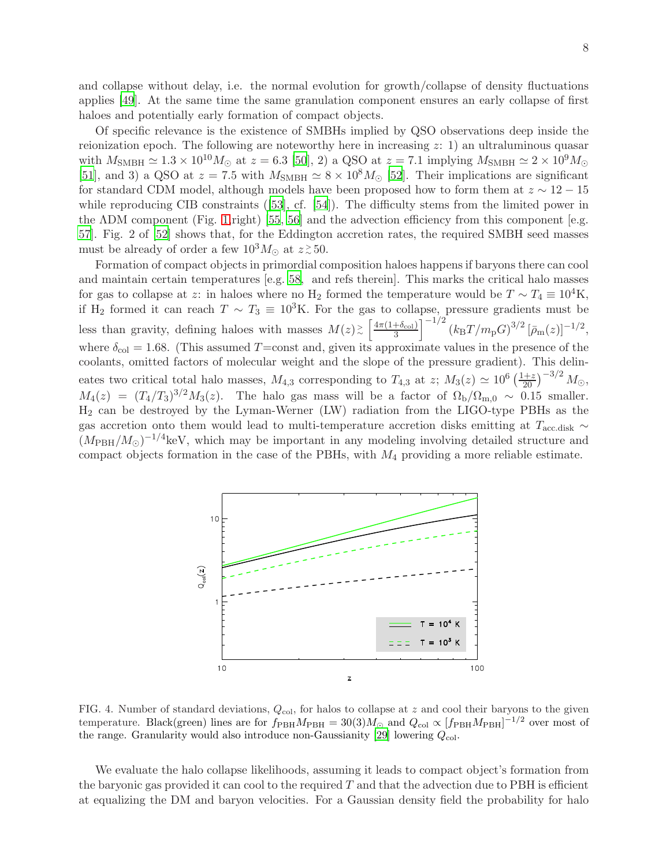and collapse without delay, i.e. the normal evolution for growth/collapse of density fluctuations applies [\[49\]](#page-9-29). At the same time the same granulation component ensures an early collapse of first haloes and potentially early formation of compact objects.

Of specific relevance is the existence of SMBHs implied by QSO observations deep inside the reionization epoch. The following are noteworthy here in increasing  $z: 1$  an ultraluminous quasar with  $M_{\text{SMBH}} \simeq 1.3 \times 10^{10} M_{\odot}$  at  $z = 6.3$  [\[50\]](#page-9-30), 2) a QSO at  $z = 7.1$  implying  $M_{\text{SMBH}} \simeq 2 \times 10^9 M_{\odot}$ [\[51\]](#page-10-0), and 3) a QSO at  $z = 7.5$  with  $M_{\text{SMBH}} \simeq 8 \times 10^8 M_{\odot}$  [\[52\]](#page-10-1). Their implications are significant for standard CDM model, although models have been proposed how to form them at  $z \sim 12 - 15$ while reproducing CIB constraints ([\[53\]](#page-10-2), cf. [\[54\]](#page-10-3)). The difficulty stems from the limited power in the ΛDM component (Fig. [1,](#page-4-0)right) [\[55](#page-10-4), [56\]](#page-10-5) and the advection efficiency from this component [e.g. [57\]](#page-10-6). Fig. 2 of [\[52](#page-10-1)] shows that, for the Eddington accretion rates, the required SMBH seed masses must be already of order a few  $10^3 M_{\odot}$  at  $z \, \gtrsim \, 50$ .

Formation of compact objects in primordial composition haloes happens if baryons there can cool and maintain certain temperatures [e.g. [58,](#page-10-7) and refs therein]. This marks the critical halo masses for gas to collapse at z: in haloes where no H<sub>2</sub> formed the temperature would be  $T \sim T_4 \equiv 10^4$ K, if H<sub>2</sub> formed it can reach  $T \sim T_3 \equiv 10^3$ K. For the gas to collapse, pressure gradients must be less than gravity, defining haloes with masses  $M(z) \gtrsim \left[\frac{4\pi(1+\delta_{\rm col})}{3}\right]$  $\left[1\over 3^{+ \delta_{\rm col} }\right]^{-1/2} (k_{\rm B}T/m_{\rm p}G)^{3/2} \left[\bar{\rho}_{\rm m}(z)\right]^{-1/2},$ where  $\delta_{\text{col}} = 1.68$ . (This assumed T=const and, given its approximate values in the presence of the coolants, omitted factors of molecular weight and the slope of the pressure gradient). This delineates two critical total halo masses,  $M_{4,3}$  corresponding to  $T_{4,3}$  at  $z$ ;  $M_3(z) \simeq 10^6 \left(\frac{1+z}{20}\right)^{-3/2} M_{\odot}$ ,  $M_4(z) = (T_4/T_3)^{3/2} M_3(z)$ . The halo gas mass will be a factor of  $\Omega_{\rm b}/\Omega_{\rm m,0} \sim 0.15$  smaller. H<sup>2</sup> can be destroyed by the Lyman-Werner (LW) radiation from the LIGO-type PBHs as the gas accretion onto them would lead to multi-temperature accretion disks emitting at  $T_{\text{acc,disk}} \sim$  $(M_{\rm PBH}/M_{\odot})^{-1/4}$ keV, which may be important in any modeling involving detailed structure and compact objects formation in the case of the PBHs, with M<sup>4</sup> providing a more reliable estimate.



<span id="page-7-0"></span>FIG. 4. Number of standard deviations,  $Q_{\text{col}}$ , for halos to collapse at z and cool their baryons to the given temperature. Black(green) lines are for  $f_{\rm PBH}M_{\rm PBH} = 30(3)M_{\odot}$  and  $Q_{\rm col} \propto [f_{\rm PBH}M_{\rm PBH}]^{-1/2}$  over most of the range. Granularity would also introduce non-Gaussianity [\[29](#page-9-24)] lowering  $Q_{col}$ .

We evaluate the halo collapse likelihoods, assuming it leads to compact object's formation from the baryonic gas provided it can cool to the required  $T$  and that the advection due to PBH is efficient at equalizing the DM and baryon velocities. For a Gaussian density field the probability for halo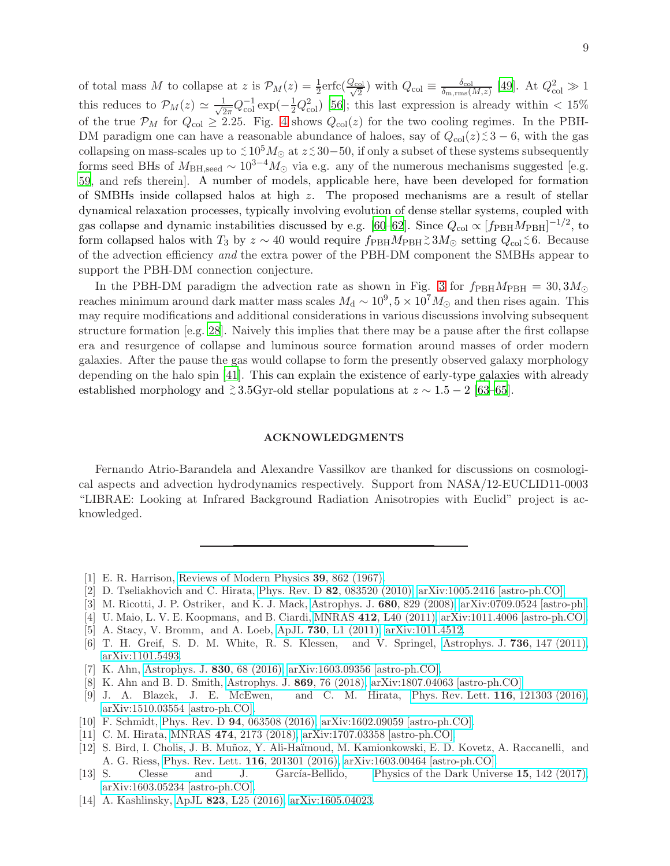of total mass M to collapse at z is  $\mathcal{P}_M(z) = \frac{1}{2} \text{erfc}(\frac{Q_{\text{col}}}{\sqrt{2}})$  with  $Q_{\text{col}} \equiv \frac{\delta_{\text{col}}}{\delta_{\text{m,rms}}}$ .  $\frac{\delta_{\rm col}}{\delta_{\rm m,rms}(M,z)}$  [\[49](#page-9-29)]. At  $Q_{\rm col}^2 \gg 1$ this reduces to  $\mathcal{P}_M(z) \simeq \frac{1}{\sqrt{2}}$  $\frac{1}{2\pi}Q_{\text{col}}^{-1}\exp(-\frac{1}{2}Q_{\text{col}}^2)$  [\[56](#page-10-5)]; this last expression is already within < 15% of the true  $\mathcal{P}_M$  for  $Q_{\text{col}} \geq 2.25$ . Fig. [4](#page-7-0) shows  $Q_{\text{col}}(z)$  for the two cooling regimes. In the PBH-DM paradigm one can have a reasonable abundance of haloes, say of  $Q_{\text{col}}(z) \leq 3-6$ , with the gas collapsing on mass-scales up to  $\leq 10^5 M_{\odot}$  at  $z \leq 30-50$ , if only a subset of these systems subsequently forms seed BHs of  $M_{\text{BH,seed}} \sim 10^{3-4} M_{\odot}$  via e.g. any of the numerous mechanisms suggested [e.g. [59,](#page-10-8) and refs therein]. A number of models, applicable here, have been developed for formation of SMBHs inside collapsed halos at high z. The proposed mechanisms are a result of stellar dynamical relaxation processes, typically involving evolution of dense stellar systems, coupled with gas collapse and dynamic instabilities discussed by e.g. [\[60](#page-10-9)[–62](#page-10-10)]. Since  $Q_{\text{col}} \propto [f_{\text{PBH}}M_{\text{PBH}}]^{-1/2}$ , to form collapsed halos with  $T_3$  by  $z \sim 40$  would require  $f_{\rm PBH}M_{\rm PBH} \gtrsim 3M_{\odot}$  setting  $Q_{\rm col} \lesssim 6$ . Because of the advection efficiency *and* the extra power of the PBH-DM component the SMBHs appear to support the PBH-DM connection conjecture.

In the PBH-DM paradigm the advection rate as shown in Fig. [3](#page-6-0) for  $f_{\rm PBH}M_{\rm PBH} = 30, 3M_{\odot}$ reaches minimum around dark matter mass scales  $M_d \sim 10^9$ ,  $5 \times 10^7 M_{\odot}$  and then rises again. This may require modifications and additional considerations in various discussions involving subsequent structure formation [e.g. [28](#page-9-10)]. Naively this implies that there may be a pause after the first collapse era and resurgence of collapse and luminous source formation around masses of order modern galaxies. After the pause the gas would collapse to form the presently observed galaxy morphology depending on the halo spin [\[41](#page-9-21)]. This can explain the existence of early-type galaxies with already established morphology and  $\approx 3.5$ Gyr-old stellar populations at  $z \sim 1.5 - 2$  [\[63](#page-10-11)[–65\]](#page-10-12).

### ACKNOWLEDGMENTS

Fernando Atrio-Barandela and Alexandre Vassilkov are thanked for discussions on cosmological aspects and advection hydrodynamics respectively. Support from NASA/12-EUCLID11-0003 "LIBRAE: Looking at Infrared Background Radiation Anisotropies with Euclid" project is acknowledged.

- <span id="page-8-0"></span>[1] E. R. Harrison, [Reviews of Modern Physics](http://dx.doi.org/10.1103/RevModPhys.39.862) 39, 862 (1967).
- <span id="page-8-1"></span>[2] D. Tseliakhovich and C. Hirata, Phys. Rev. D 82[, 083520 \(2010\),](http://dx.doi.org/10.1103/PhysRevD.82.083520) [arXiv:1005.2416 \[astro-ph.CO\].](http://arxiv.org/abs/1005.2416)
- <span id="page-8-2"></span>[3] M. Ricotti, J. P. Ostriker, and K. J. Mack, [Astrophys. J.](http://dx.doi.org/10.1086/587831) 680, 829 (2008), [arXiv:0709.0524 \[astro-ph\].](http://arxiv.org/abs/0709.0524)
- <span id="page-8-3"></span>[4] U. Maio, L. V. E. Koopmans, and B. Ciardi, MNRAS 412[, L40 \(2011\),](http://dx.doi.org/10.1111/j.1745-3933.2010.01001.x) [arXiv:1011.4006 \[astro-ph.CO\].](http://arxiv.org/abs/1011.4006)
- [5] A. Stacy, V. Bromm, and A. Loeb, ApJL 730[, L1 \(2011\),](http://dx.doi.org/10.1088/2041-8205/730/1/L1) [arXiv:1011.4512.](http://arxiv.org/abs/1011.4512)
- [6] T. H. Greif, S. D. M. White, R. S. Klessen, and V. Springel, [Astrophys. J.](http://dx.doi.org/10.1088/0004-637X/736/2/147) 736, 147 (2011), [arXiv:1101.5493.](http://arxiv.org/abs/1101.5493)
- [7] K. Ahn, [Astrophys. J.](http://dx.doi.org/10.3847/0004-637X/830/2/68) 830, 68 (2016), [arXiv:1603.09356 \[astro-ph.CO\].](http://arxiv.org/abs/1603.09356)
- [8] K. Ahn and B. D. Smith, [Astrophys. J.](http://dx.doi.org/10.3847/1538-4357/aaec66) 869, 76 (2018), [arXiv:1807.04063 \[astro-ph.CO\].](http://arxiv.org/abs/1807.04063)
- [9] J. A. Blazek, J. E. McEwen, and C. M. Hirata, [Phys. Rev. Lett.](http://dx.doi.org/10.1103/PhysRevLett.116.121303) 116, 121303 (2016), [arXiv:1510.03554 \[astro-ph.CO\].](http://arxiv.org/abs/1510.03554)
- [10] F. Schmidt, Phys. Rev. D 94[, 063508 \(2016\),](http://dx.doi.org/10.1103/PhysRevD.94.063508) [arXiv:1602.09059 \[astro-ph.CO\].](http://arxiv.org/abs/1602.09059)
- <span id="page-8-4"></span>[11] C. M. Hirata, MNRAS 474[, 2173 \(2018\),](http://dx.doi.org/10.1093/mnras/stx2854) [arXiv:1707.03358 \[astro-ph.CO\].](http://arxiv.org/abs/1707.03358)
- <span id="page-8-5"></span>[12] S. Bird, I. Cholis, J. B. Mu˜noz, Y. Ali-Ha¨ımoud, M. Kamionkowski, E. D. Kovetz, A. Raccanelli, and A. G. Riess, [Phys. Rev. Lett.](http://dx.doi.org/ 10.1103/PhysRevLett.116.201301) 116, 201301 (2016), [arXiv:1603.00464 \[astro-ph.CO\].](http://arxiv.org/abs/1603.00464)
- <span id="page-8-6"></span>[13] S. Clesse and J. García-Bellido, [Physics of the Dark Universe](http://dx.doi.org/10.1016/j.dark.2016.10.002) 15, 142 (2017), [arXiv:1603.05234 \[astro-ph.CO\].](http://arxiv.org/abs/1603.05234)
- <span id="page-8-7"></span>[14] A. Kashlinsky, ApJL 823[, L25 \(2016\),](http://dx.doi.org/10.3847/2041-8205/823/2/L25) [arXiv:1605.04023.](http://arxiv.org/abs/1605.04023)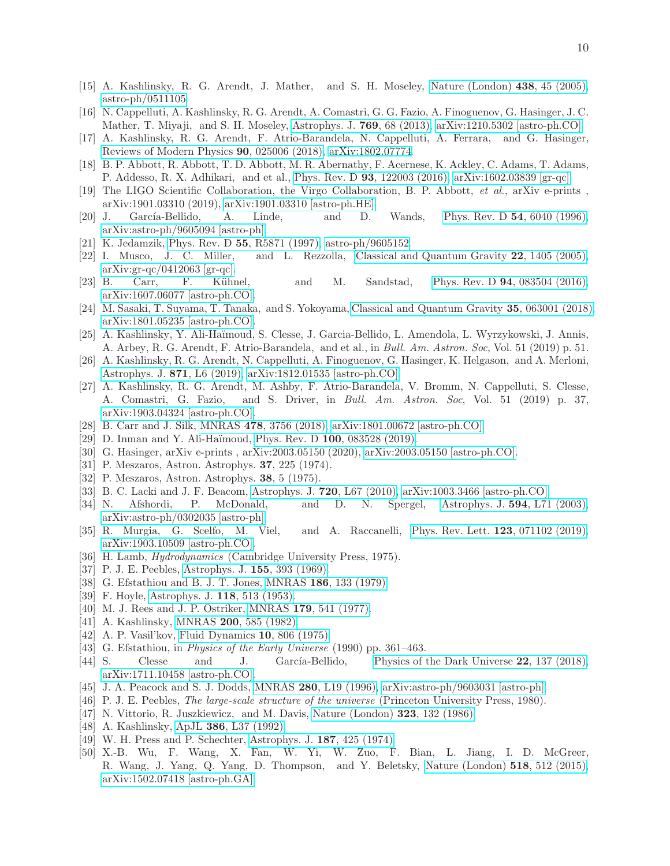- <span id="page-9-0"></span>[15] A. Kashlinsky, R. G. Arendt, J. Mather, and S. H. Moseley, [Nature \(London\)](http://dx.doi.org/10.1038/nature04143) 438, 45 (2005), [astro-ph/0511105.](http://arxiv.org/abs/astro-ph/0511105)
- <span id="page-9-1"></span>[16] N. Cappelluti, A. Kashlinsky, R. G. Arendt, A. Comastri, G. G. Fazio, A. Finoguenov, G. Hasinger, J. C. Mather, T. Miyaji, and S. H. Moseley, [Astrophys. J.](http://dx.doi.org/10.1088/0004-637X/769/1/68) 769, 68 (2013), [arXiv:1210.5302 \[astro-ph.CO\].](http://arxiv.org/abs/1210.5302)
- <span id="page-9-2"></span>[17] A. Kashlinsky, R. G. Arendt, F. Atrio-Barandela, N. Cappelluti, A. Ferrara, and G. Hasinger, [Reviews of Modern Physics](http://dx.doi.org/10.1103/RevModPhys.90.025006) 90, 025006 (2018), [arXiv:1802.07774.](http://arxiv.org/abs/1802.07774)
- <span id="page-9-3"></span>[18] B. P. Abbott, R. Abbott, T. D. Abbott, M. R. Abernathy, F. Acernese, K. Ackley, C. Adams, T. Adams, P. Addesso, R. X. Adhikari, and et al., Phys. Rev. D 93[, 122003 \(2016\),](http://dx.doi.org/10.1103/PhysRevD.93.122003) [arXiv:1602.03839 \[gr-qc\].](http://arxiv.org/abs/1602.03839)
- <span id="page-9-4"></span>[19] The LIGO Scientific Collaboration, the Virgo Collaboration, B. P. Abbott, *et al.*, arXiv e-prints , arXiv:1901.03310 (2019), [arXiv:1901.03310 \[astro-ph.HE\].](http://arxiv.org/abs/1901.03310)
- <span id="page-9-5"></span>[20] J. García-Bellido, A. Linde, and D. Wands, [Phys. Rev. D](http://dx.doi.org/10.1103/PhysRevD.54.6040)  $54$ , 6040 (1996), [arXiv:astro-ph/9605094 \[astro-ph\].](http://arxiv.org/abs/astro-ph/9605094)
- [21] K. Jedamzik, Phys. Rev. D 55[, R5871 \(1997\),](http://dx.doi.org/10.1103/PhysRevD.55.R5871) [astro-ph/9605152.](http://arxiv.org/abs/astro-ph/9605152)
- [22] I. Musco, J. C. Miller, and L. Rezzolla, [Classical and Quantum Gravity](http://dx.doi.org/10.1088/0264-9381/22/7/013) 22, 1405 (2005), [arXiv:gr-qc/0412063 \[gr-qc\].](http://arxiv.org/abs/gr-qc/0412063)
- [23] B. Carr, F. K¨uhnel, and M. Sandstad, Phys. Rev. D 94[, 083504 \(2016\),](http://dx.doi.org/10.1103/PhysRevD.94.083504) [arXiv:1607.06077 \[astro-ph.CO\].](http://arxiv.org/abs/1607.06077)
- <span id="page-9-6"></span>[24] M. Sasaki, T. Suyama, T. Tanaka, and S. Yokoyama, [Classical and Quantum Gravity](http://dx.doi.org/10.1088/1361-6382/aaa7b4) 35, 063001 (2018), [arXiv:1801.05235 \[astro-ph.CO\].](http://arxiv.org/abs/1801.05235)
- <span id="page-9-7"></span>[25] A. Kashlinsky, Y. Ali-Ha¨ımoud, S. Clesse, J. Garcia-Bellido, L. Amendola, L. Wyrzykowski, J. Annis, A. Arbey, R. G. Arendt, F. Atrio-Barandela, and et al., in *Bull. Am. Astron. Soc*, Vol. 51 (2019) p. 51.
- <span id="page-9-8"></span>[26] A. Kashlinsky, R. G. Arendt, N. Cappelluti, A. Finoguenov, G. Hasinger, K. Helgason, and A. Merloni, [Astrophys. J.](http://dx.doi.org/10.3847/2041-8213/aafaf6) 871, L6 (2019), [arXiv:1812.01535 \[astro-ph.CO\].](http://arxiv.org/abs/1812.01535)
- <span id="page-9-9"></span>[27] A. Kashlinsky, R. G. Arendt, M. Ashby, F. Atrio-Barandela, V. Bromm, N. Cappelluti, S. Clesse, A. Comastri, G. Fazio, and S. Driver, in *Bull. Am. Astron. Soc*, Vol. 51 (2019) p. 37, [arXiv:1903.04324 \[astro-ph.CO\].](http://arxiv.org/abs/1903.04324)
- <span id="page-9-10"></span>[28] B. Carr and J. Silk, MNRAS 478[, 3756 \(2018\),](http://dx.doi.org/10.1093/mnras/sty1204) [arXiv:1801.00672 \[astro-ph.CO\].](http://arxiv.org/abs/1801.00672)
- <span id="page-9-24"></span>[29] D. Inman and Y. Ali-Haïmoud, Phys. Rev. D 100[, 083528 \(2019\).](http://dx.doi.org/10.1103/PhysRevD.100.083528)
- <span id="page-9-11"></span>[30] G. Hasinger, arXiv e-prints , arXiv:2003.05150 (2020), [arXiv:2003.05150 \[astro-ph.CO\].](http://arxiv.org/abs/2003.05150)
- <span id="page-9-12"></span>[31] P. Meszaros, Astron. Astrophys. 37, 225 (1974).
- <span id="page-9-13"></span>[32] P. Meszaros, Astron. Astrophys. 38, 5 (1975).
- <span id="page-9-14"></span>[33] B. C. Lacki and J. F. Beacom, [Astrophys. J.](http://dx.doi.org/10.1088/2041-8205/720/1/L67) 720, L67 (2010), [arXiv:1003.3466 \[astro-ph.CO\].](http://arxiv.org/abs/1003.3466)
- <span id="page-9-15"></span>[34] N. Afshordi, P. McDonald, and D. N. Spergel, [Astrophys. J.](http://dx.doi.org/10.1086/378763) 594, L71 (2003), [arXiv:astro-ph/0302035 \[astro-ph\].](http://arxiv.org/abs/astro-ph/0302035)
- <span id="page-9-16"></span>[35] R. Murgia, G. Scelfo, M. Viel, and A. Raccanelli, [Phys. Rev. Lett.](http://dx.doi.org/ 10.1103/PhysRevLett.123.071102) 123, 071102 (2019), [arXiv:1903.10509 \[astro-ph.CO\].](http://arxiv.org/abs/1903.10509)
- <span id="page-9-17"></span>[36] H. Lamb, *Hydrodynamics* (Cambridge University Press, 1975).
- <span id="page-9-18"></span>[37] P. J. E. Peebles, [Astrophys. J.](http://dx.doi.org/10.1086/149876) 155, 393 (1969).
- <span id="page-9-19"></span>[38] G. Efstathiou and B. J. T. Jones, MNRAS 186[, 133 \(1979\).](http://dx.doi.org/10.1093/mnras/186.2.133)
- <span id="page-9-20"></span>[39] F. Hoyle, [Astrophys. J.](http://dx.doi.org/10.1086/145780) 118, 513 (1953).
- [40] M. J. Rees and J. P. Ostriker, MNRAS 179[, 541 \(1977\).](http://dx.doi.org/10.1093/mnras/179.4.541)
- <span id="page-9-21"></span>[41] A. Kashlinsky, MNRAS 200[, 585 \(1982\).](http://dx.doi.org/10.1093/mnras/200.3.585)
- <span id="page-9-22"></span>[42] A. P. Vasil'kov, [Fluid Dynamics](http://dx.doi.org/10.1007/BF01015455) 10, 806 (1975).
- <span id="page-9-23"></span>[43] G. Efstathiou, in *Physics of the Early Universe* (1990) pp. 361–463.
- <span id="page-9-25"></span>[44] S. Clesse and J. García-Bellido, [Physics of the Dark Universe](http://dx.doi.org/10.1016/j.dark.2018.08.004) 22, 137 (2018), [arXiv:1711.10458 \[astro-ph.CO\].](http://arxiv.org/abs/1711.10458)
- <span id="page-9-26"></span>[45] J. A. Peacock and S. J. Dodds, MNRAS 280[, L19 \(1996\),](http://dx.doi.org/10.1093/mnras/280.3.L19) [arXiv:astro-ph/9603031 \[astro-ph\].](http://arxiv.org/abs/astro-ph/9603031)
- <span id="page-9-27"></span>[46] P. J. E. Peebles, *The large-scale structure of the universe* (Princeton University Press, 1980).
- [47] N. Vittorio, R. Juszkiewicz, and M. Davis, [Nature \(London\)](http://dx.doi.org/10.1038/323132a0) 323, 132 (1986).
- <span id="page-9-28"></span>[48] A. Kashlinsky, ApJL 386[, L37 \(1992\).](http://dx.doi.org/10.1086/186287)
- <span id="page-9-29"></span>[49] W. H. Press and P. Schechter, [Astrophys. J.](http://dx.doi.org/10.1086/152650) 187, 425 (1974).
- <span id="page-9-30"></span>[50] X.-B. Wu, F. Wang, X. Fan, W. Yi, W. Zuo, F. Bian, L. Jiang, I. D. McGreer, R. Wang, J. Yang, Q. Yang, D. Thompson, and Y. Beletsky, Nature (London) 518[, 512 \(2015\),](http://dx.doi.org/ 10.1038/nature14241) [arXiv:1502.07418 \[astro-ph.GA\].](http://arxiv.org/abs/1502.07418)